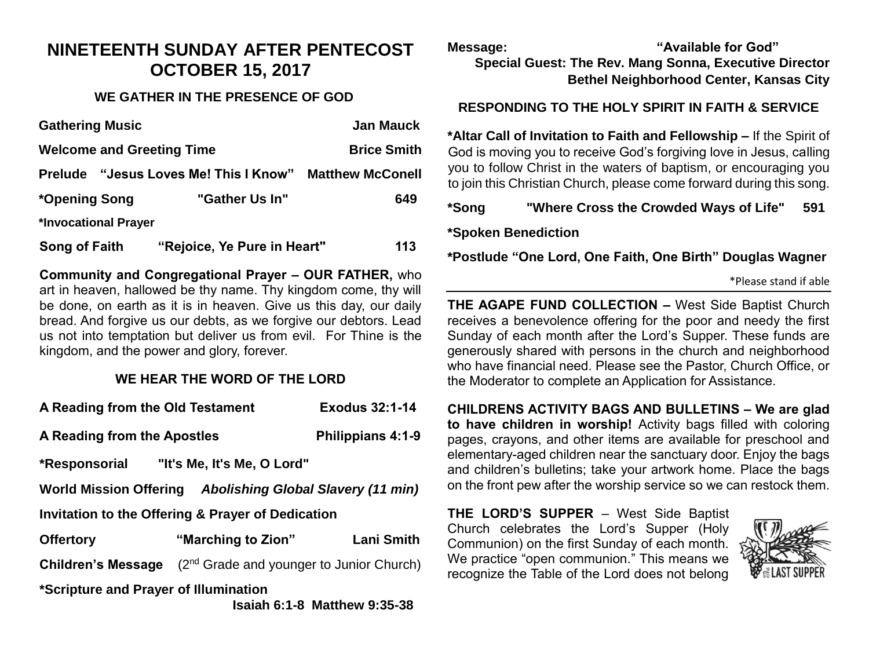## **NINETEENTH SUNDAY AFTER PENTECOST OCTOBER 15, 2017**

## **WE GATHER IN THE PRESENCE OF GOD**

| <b>Gathering Music</b>           |                                       | <b>Jan Mauck</b>        |  |
|----------------------------------|---------------------------------------|-------------------------|--|
| <b>Welcome and Greeting Time</b> |                                       | <b>Brice Smith</b>      |  |
|                                  | Prelude "Jesus Loves Me! This I Know" | <b>Matthew McConell</b> |  |
| *Opening Song                    | "Gather Us In"                        | 649                     |  |
| *Invocational Prayer             |                                       |                         |  |
| <b>Song of Faith</b>             | "Rejoice, Ye Pure in Heart"           | 113                     |  |

**Community and Congregational Prayer – OUR FATHER,** who art in heaven, hallowed be thy name. Thy kingdom come, thy will be done, on earth as it is in heaven. Give us this day, our daily bread. And forgive us our debts, as we forgive our debtors. Lead us not into temptation but deliver us from evil. For Thine is the kingdom, and the power and glory, forever.

## **WE HEAR THE WORD OF THE LORD**

| A Reading from the Old Testament                          |                                                      | <b>Exodus 32:1-14</b> |  |  |  |
|-----------------------------------------------------------|------------------------------------------------------|-----------------------|--|--|--|
| A Reading from the Apostles                               |                                                      | Philippians 4:1-9     |  |  |  |
|                                                           | *Responsorial "It's Me, It's Me, O Lord"             |                       |  |  |  |
| World Mission Offering Abolishing Global Slavery (11 min) |                                                      |                       |  |  |  |
| Invitation to the Offering & Prayer of Dedication         |                                                      |                       |  |  |  |
| <b>Offertory</b>                                          | "Marching to Zion"                                   | <b>Lani Smith</b>     |  |  |  |
| <b>Children's Message</b>                                 | (2 <sup>nd</sup> Grade and younger to Junior Church) |                       |  |  |  |
| *Scripture and Prayer of Illumination                     |                                                      |                       |  |  |  |

 **Isaiah 6:1-8 Matthew 9:35-38** 

**Message: "Available for God" Special Guest: The Rev. Mang Sonna, Executive Director Bethel Neighborhood Center, Kansas City**

## **RESPONDING TO THE HOLY SPIRIT IN FAITH & SERVICE**

**\*Altar Call of Invitation to Faith and Fellowship –** If the Spirit of God is moving you to receive God's forgiving love in Jesus, calling you to follow Christ in the waters of baptism, or encouraging you to join this Christian Church, please come forward during this song.

**\*Song "Where Cross the Crowded Ways of Life" 591**

**\*Spoken Benediction**

**\*Postlude "One Lord, One Faith, One Birth" Douglas Wagner**

| *Please stand if able |  |  |  |
|-----------------------|--|--|--|
|-----------------------|--|--|--|

**THE AGAPE FUND COLLECTION –** West Side Baptist Church receives a benevolence offering for the poor and needy the first Sunday of each month after the Lord's Supper. These funds are generously shared with persons in the church and neighborhood who have financial need. Please see the Pastor, Church Office, or the Moderator to complete an Application for Assistance.

**CHILDRENS ACTIVITY BAGS AND BULLETINS – We are glad to have children in worship!** Activity bags filled with coloring pages, crayons, and other items are available for preschool and elementary-aged children near the sanctuary door. Enjoy the bags and children's bulletins; take your artwork home. Place the bags on the front pew after the worship service so we can restock them.

**THE LORD'S SUPPER** – West Side Baptist Church celebrates the Lord's Supper (Holy Communion) on the first Sunday of each month. We practice "open communion." This means we recognize the Table of the Lord does not belong